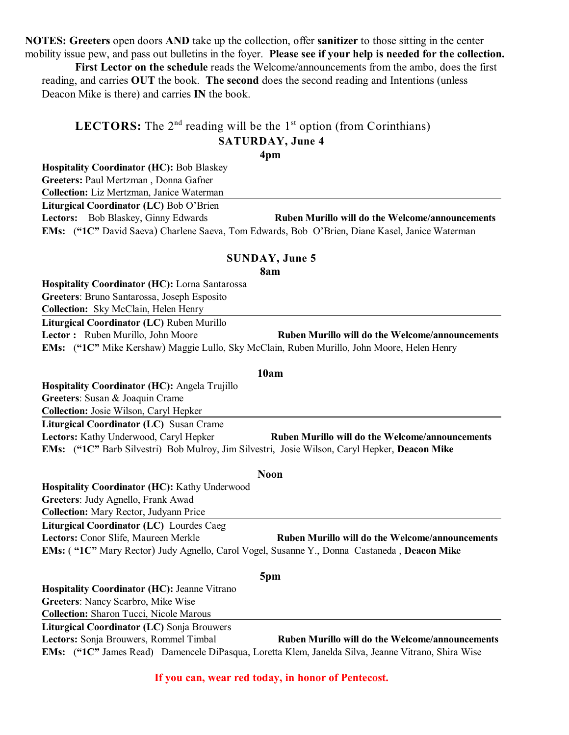**NOTES: Greeters** open doors **AND** take up the collection, offer **sanitizer** to those sitting in the center mobility issue pew, and pass out bulletins in the foyer. **Please see if your help is needed for the collection.**

**First Lector on the schedule** reads the Welcome/announcements from the ambo, does the first reading, and carries **OUT** the book. **The second** does the second reading and Intentions (unless Deacon Mike is there) and carries **IN** the book.

## **LECTORS:** The  $2<sup>nd</sup>$  reading will be the  $1<sup>st</sup>$  option (from Corinthians) **SATURDAY, June 4**

**4pm**

**Hospitality Coordinator (HC):** Bob Blaskey **Greeters:** Paul Mertzman , Donna Gafner **Collection:** Liz Mertzman, Janice Waterman

**Liturgical Coordinator (LC)** Bob O'Brien

**Lectors:** Bob Blaskey, Ginny Edwards **Ruben Murillo will do the Welcome/announcements EMs:** (**"1C"** David Saeva) Charlene Saeva, Tom Edwards, Bob O'Brien, Diane Kasel, Janice Waterman

### **SUNDAY, June 5**

**8am**

**Hospitality Coordinator (HC):** Lorna Santarossa **Greeters**: Bruno Santarossa, Joseph Esposito **Collection:** Sky McClain, Helen Henry **Liturgical Coordinator (LC)** Ruben Murillo **Lector :** Ruben Murillo, John Moore **Ruben Murillo will do the Welcome/announcements EMs:** (**"1C"** Mike Kershaw) Maggie Lullo, Sky McClain, Ruben Murillo, John Moore, Helen Henry

### **10am**

**Hospitality Coordinator (HC):** Angela Trujillo **Greeters**: Susan & Joaquin Crame **Collection:** Josie Wilson, Caryl Hepker **Liturgical Coordinator (LC)** Susan Crame **Lectors:** Kathy Underwood, Caryl Hepker **Ruben Murillo will do the Welcome/announcements EMs:** (**"1C"** Barb Silvestri) Bob Mulroy, Jim Silvestri, Josie Wilson, Caryl Hepker, **Deacon Mike**

#### **Noon**

**Hospitality Coordinator (HC):** Kathy Underwood **Greeters**: Judy Agnello, Frank Awad **Collection:** Mary Rector, Judyann Price **Liturgical Coordinator (LC)** Lourdes Caeg **Lectors:** Conor Slife, Maureen Merkle **Ruben Murillo will do the Welcome/announcements EMs:** ( **"1C"** Mary Rector) Judy Agnello, Carol Vogel, Susanne Y., Donna Castaneda , **Deacon Mike**

#### **5pm**

**Hospitality Coordinator (HC):** Jeanne Vitrano **Greeters**: Nancy Scarbro, Mike Wise

**Collection:** Sharon Tucci, Nicole Marous

**Liturgical Coordinator (LC)** Sonja Brouwers

**Lectors:** Sonja Brouwers, Rommel Timbal **Ruben Murillo will do the Welcome/announcements EMs:** (**"1C"** James Read) Damencele DiPasqua, Loretta Klem, Janelda Silva, Jeanne Vitrano, Shira Wise

**If you can, wear red today, in honor of Pentecost.**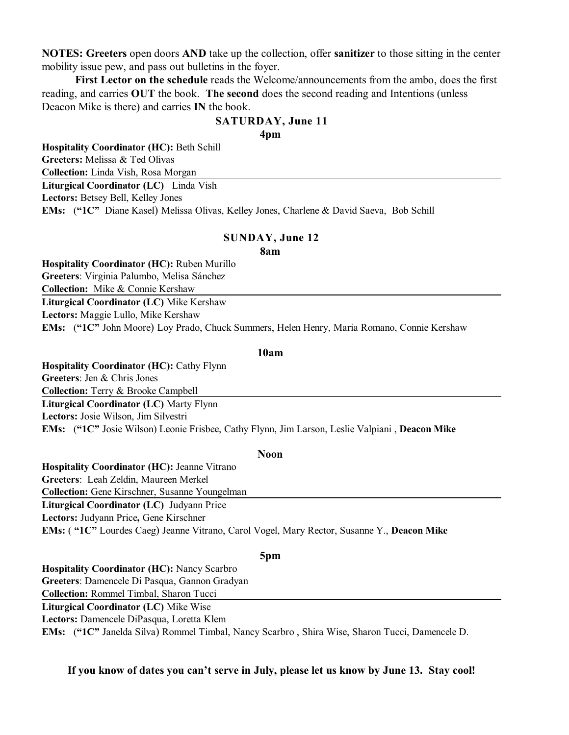**NOTES: Greeters** open doors **AND** take up the collection, offer **sanitizer** to those sitting in the center mobility issue pew, and pass out bulletins in the foyer.

**First Lector on the schedule** reads the Welcome/announcements from the ambo, does the first reading, and carries **OUT** the book. **The second** does the second reading and Intentions (unless Deacon Mike is there) and carries **IN** the book.

# **SATURDAY, June 11**

**4pm**

**Hospitality Coordinator (HC):** Beth Schill **Greeters:** Melissa & Ted Olivas **Collection:** Linda Vish, Rosa Morgan **Liturgical Coordinator (LC)** Linda Vish **Lectors:** Betsey Bell, Kelley Jones **EMs:** (**"1C"** Diane Kasel) Melissa Olivas, Kelley Jones, Charlene & David Saeva, Bob Schill

### **SUNDAY, June 12**

**8am**

**Hospitality Coordinator (HC):** Ruben Murillo **Greeters**: Virginia Palumbo, Melisa Sánchez **Collection:** Mike & Connie Kershaw **Liturgical Coordinator (LC)** Mike Kershaw **Lectors:** Maggie Lullo, Mike Kershaw **EMs:** (**"1C"** John Moore) Loy Prado, Chuck Summers, Helen Henry, Maria Romano, Connie Kershaw

### **10am**

**Hospitality Coordinator (HC):** Cathy Flynn **Greeters**: Jen & Chris Jones **Collection:** Terry & Brooke Campbell **Liturgical Coordinator (LC)** Marty Flynn **Lectors:** Josie Wilson, Jim Silvestri **EMs:** (**"1C"** Josie Wilson) Leonie Frisbee, Cathy Flynn, Jim Larson, Leslie Valpiani , **Deacon Mike**

### **Noon**

**Hospitality Coordinator (HC):** Jeanne Vitrano **Greeters**: Leah Zeldin, Maureen Merkel **Collection:** Gene Kirschner, Susanne Youngelman **Liturgical Coordinator (LC)** Judyann Price **Lectors:** Judyann Price**,** Gene Kirschner **EMs:** ( **"1C"** Lourdes Caeg) Jeanne Vitrano, Carol Vogel, Mary Rector, Susanne Y., **Deacon Mike**

### **5pm**

**Hospitality Coordinator (HC):** Nancy Scarbro **Greeters**: Damencele Di Pasqua, Gannon Gradyan **Collection:** Rommel Timbal, Sharon Tucci **Liturgical Coordinator (LC)** Mike Wise **Lectors:** Damencele DiPasqua, Loretta Klem **EMs:** (**"1C"** Janelda Silva) Rommel Timbal, Nancy Scarbro , Shira Wise, Sharon Tucci, Damencele D.

### **If you know of dates you can't serve in July, please let us know by June 13. Stay cool!**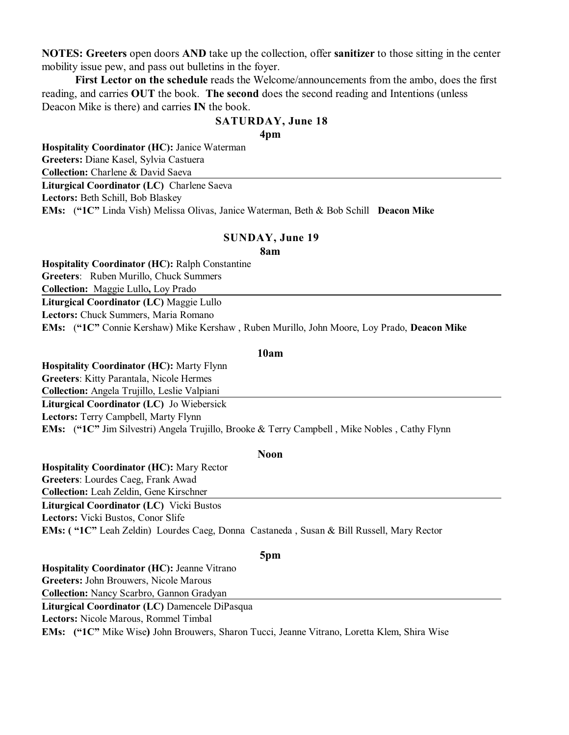**NOTES: Greeters** open doors **AND** take up the collection, offer **sanitizer** to those sitting in the center mobility issue pew, and pass out bulletins in the foyer.

**First Lector on the schedule** reads the Welcome/announcements from the ambo, does the first reading, and carries **OUT** the book. **The second** does the second reading and Intentions (unless Deacon Mike is there) and carries **IN** the book.

### **SATURDAY, June 18**

**4pm**

**Hospitality Coordinator (HC):** Janice Waterman **Greeters:** Diane Kasel, Sylvia Castuera **Collection:** Charlene & David Saeva **Liturgical Coordinator (LC)** Charlene Saeva **Lectors:** Beth Schill, Bob Blaskey **EMs:** (**"1C"** Linda Vish) Melissa Olivas, Janice Waterman, Beth & Bob Schill **Deacon Mike**

### **SUNDAY, June 19**

**8am**

**Hospitality Coordinator (HC):** Ralph Constantine **Greeters**: Ruben Murillo, Chuck Summers **Collection:** Maggie Lullo**,** Loy Prado **Liturgical Coordinator (LC)** Maggie Lullo **Lectors:** Chuck Summers, Maria Romano **EMs:** (**"1C"** Connie Kershaw) Mike Kershaw , Ruben Murillo, John Moore, Loy Prado, **Deacon Mike**

### **10am**

**Hospitality Coordinator (HC):** Marty Flynn **Greeters**: Kitty Parantala, Nicole Hermes **Collection:** Angela Trujillo, Leslie Valpiani **Liturgical Coordinator (LC)** Jo Wiebersick **Lectors:** Terry Campbell, Marty Flynn **EMs:** (**"1C"** Jim Silvestri) Angela Trujillo, Brooke & Terry Campbell , Mike Nobles , Cathy Flynn

### **Noon**

**Hospitality Coordinator (HC):** Mary Rector **Greeters**: Lourdes Caeg, Frank Awad **Collection:** Leah Zeldin, Gene Kirschner **Liturgical Coordinator (LC)** Vicki Bustos **Lectors:** Vicki Bustos, Conor Slife **EMs: ( "1C"** Leah Zeldin) Lourdes Caeg, Donna Castaneda , Susan & Bill Russell, Mary Rector

#### **5pm**

**Hospitality Coordinator (HC):** Jeanne Vitrano **Greeters:** John Brouwers, Nicole Marous **Collection:** Nancy Scarbro, Gannon Gradyan **Liturgical Coordinator (LC)** Damencele DiPasqua **Lectors:** Nicole Marous, Rommel Timbal **EMs: ("1C"** Mike Wise**)** John Brouwers, Sharon Tucci, Jeanne Vitrano, Loretta Klem, Shira Wise